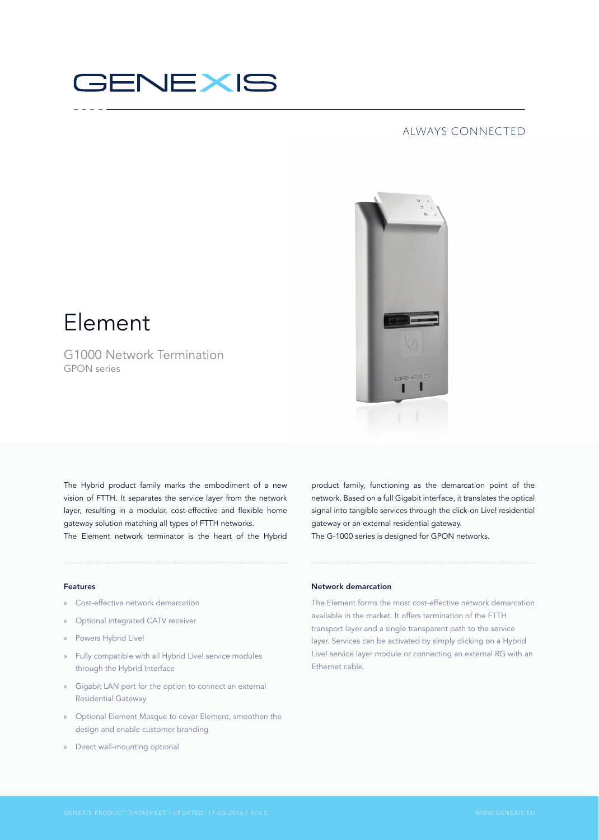

# always connected



# Element

G1000 Network Termination GPON series

The Hybrid product family marks the embodiment of a new vision of FTTH. It separates the service layer from the network layer, resulting in a modular, cost-effective and flexible home gateway solution matching all types of FTTH networks. The Element network terminator is the heart of the Hybrid product family, functioning as the demarcation point of the network. Based on a full Gigabit interface, it translates the optical signal into tangible services through the click-on Live! residential gateway or an external residential gateway. The G-1000 series is designed for GPON networks.

### Features

- » Cost-effective network demarcation
- » Optional integrated CATV receiver
- » Powers Hybrid Live!
- » Fully compatible with all Hybrid Live! service modules through the Hybrid Interface
- » Gigabit LAN port for the option to connect an external Residential Gateway
- » Optional Element Masque to cover Element, smoothen the design and enable customer branding
- » Direct wall-mounting optional

# Network demarcation

The Element forms the most cost-effective network demarcation available in the market. It offers termination of the FTTH transport layer and a single transparent path to the service layer. Services can be activated by simply clicking on a Hybrid Live! service layer module or connecting an external RG with an Ethernet cable.